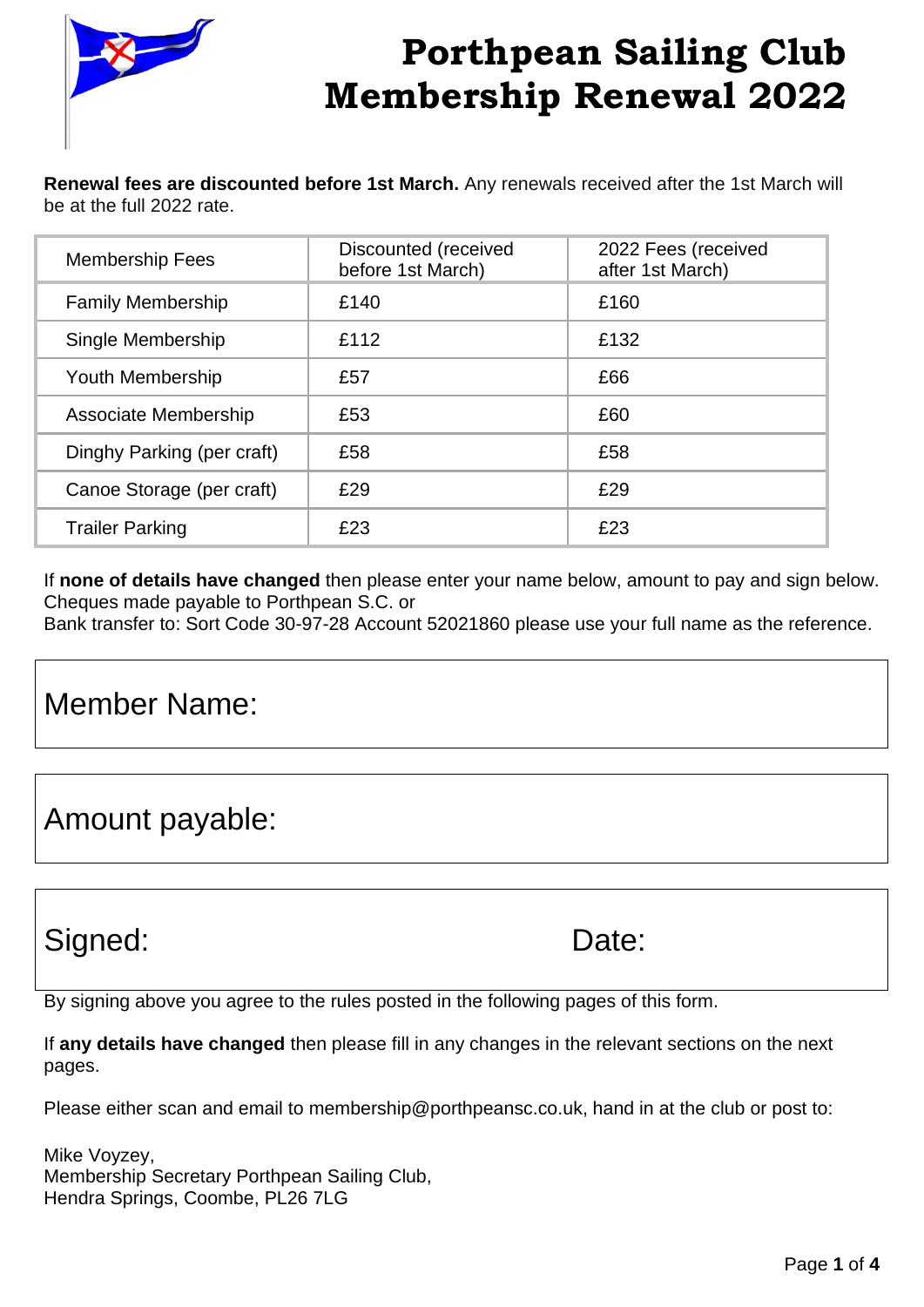

**Renewal fees are discounted before 1st March.** Any renewals received after the 1st March will be at the full 2022 rate.

| <b>Membership Fees</b>     | Discounted (received<br>before 1st March) | 2022 Fees (received<br>after 1st March) |
|----------------------------|-------------------------------------------|-----------------------------------------|
| <b>Family Membership</b>   | £140                                      | £160                                    |
| Single Membership          | £112                                      | £132                                    |
| Youth Membership           | £57                                       | £66                                     |
| Associate Membership       | £53                                       | £60                                     |
| Dinghy Parking (per craft) | £58                                       | £58                                     |
| Canoe Storage (per craft)  | £29                                       | £29                                     |
| <b>Trailer Parking</b>     | £23                                       | £23                                     |

If **none of details have changed** then please enter your name below, amount to pay and sign below. Cheques made payable to Porthpean S.C. or

Bank transfer to: Sort Code 30-97-28 Account 52021860 please use your full name as the reference.

### Member Name:

Amount payable:

### Signed: Date:

By signing above you agree to the rules posted in the following pages of this form.

If **any details have changed** then please fill in any changes in the relevant sections on the next pages.

Please either scan and email to membership@porthpeansc.co.uk, hand in at the club or post to:

Mike Voyzey, Membership Secretary Porthpean Sailing Club, Hendra Springs, Coombe, PL26 7LG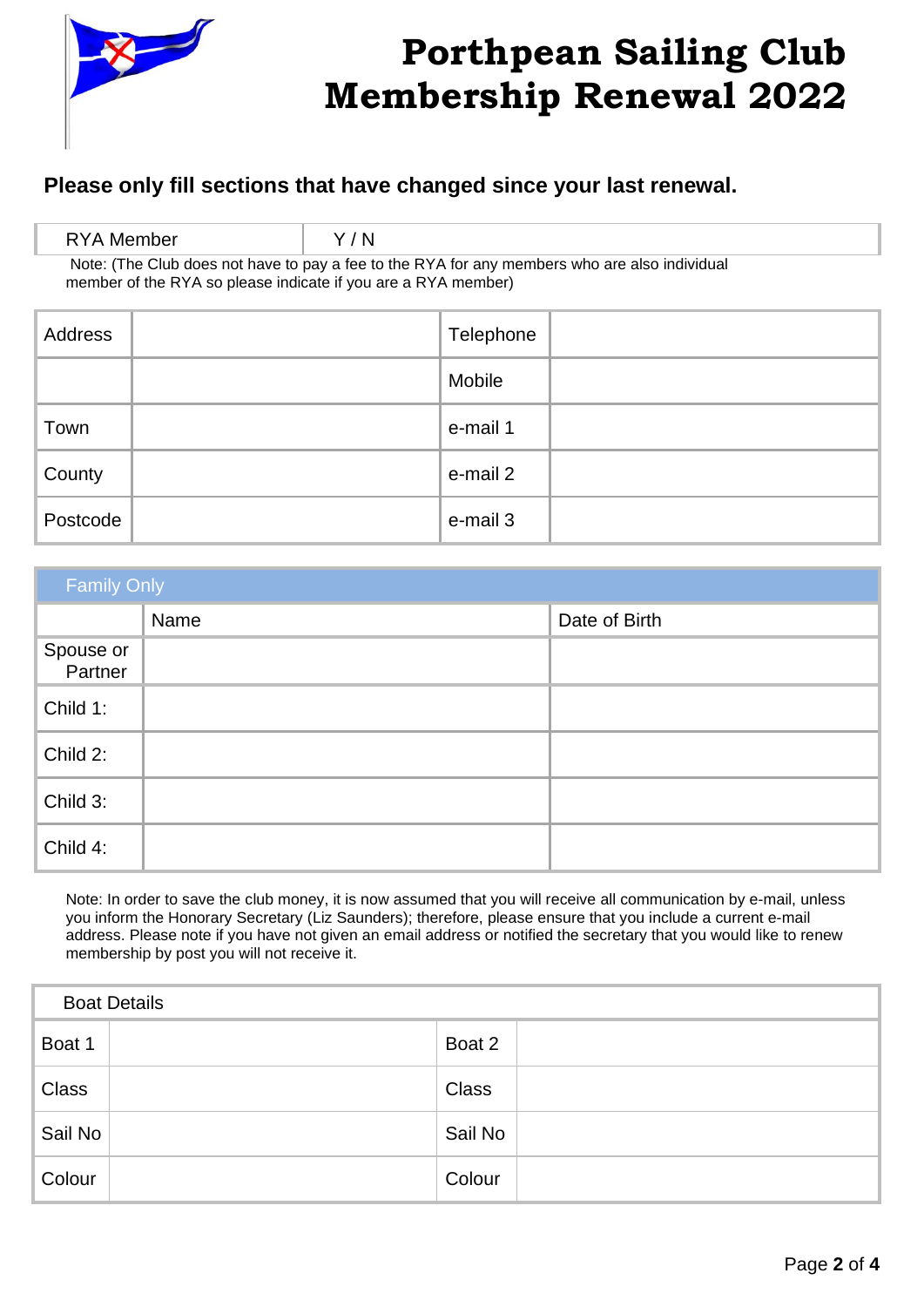

### **Please only fill sections that have changed since your last renewal.**

| RYA Member                                                                                                                                                     | Y/N |  |
|----------------------------------------------------------------------------------------------------------------------------------------------------------------|-----|--|
| Note: (The Club does not have to pay a fee to the RYA for any members who are also individual<br>member of the RYA so please indicate if you are a RYA member) |     |  |

| Address  | Telephone |
|----------|-----------|
|          | Mobile    |
| Town     | e-mail 1  |
| County   | e-mail 2  |
| Postcode | e-mail 3  |

| <b>Family Only</b>   |      |               |  |
|----------------------|------|---------------|--|
|                      | Name | Date of Birth |  |
| Spouse or<br>Partner |      |               |  |
| Child 1:             |      |               |  |
| Child 2:             |      |               |  |
| Child 3:             |      |               |  |
| Child 4:             |      |               |  |

Note: In order to save the club money, it is now assumed that you will receive all communication by e-mail, unless you inform the Honorary Secretary (Liz Saunders); therefore, please ensure that you include a current e-mail address. Please note if you have not given an email address or notified the secretary that you would like to renew membership by post you will not receive it.

| <b>Boat Details</b> |              |
|---------------------|--------------|
| Boat 1              | Boat 2       |
| <b>Class</b>        | <b>Class</b> |
| Sail No             | Sail No      |
| Colour              | Colour       |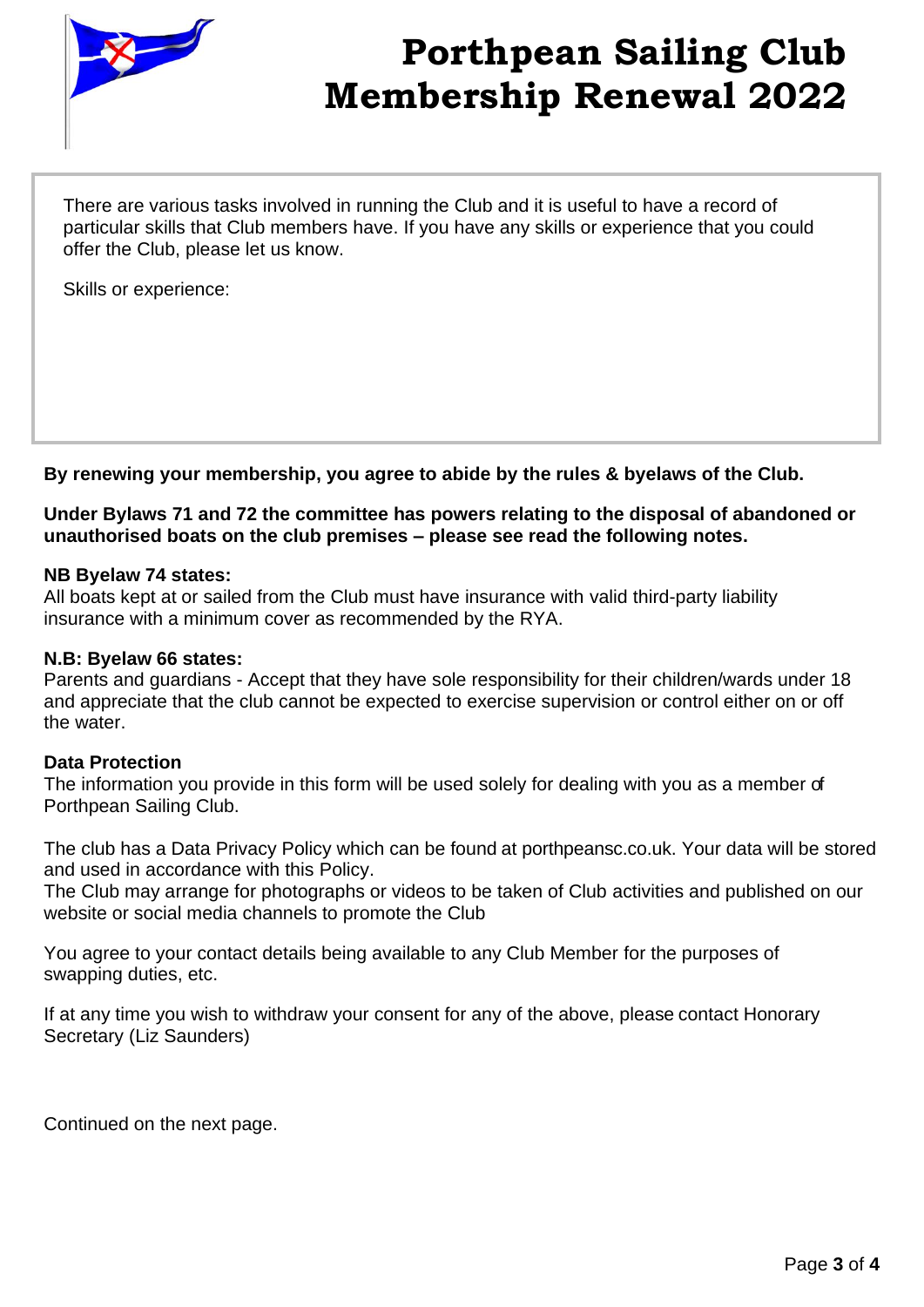

There are various tasks involved in running the Club and it is useful to have a record of particular skills that Club members have. If you have any skills or experience that you could offer the Club, please let us know.

Skills or experience:

**By renewing your membership, you agree to abide by the rules & byelaws of the Club.**

**Under Bylaws 71 and 72 the committee has powers relating to the disposal of abandoned or unauthorised boats on the club premises – please see read the following notes.**

#### **NB Byelaw 74 states:**

All boats kept at or sailed from the Club must have insurance with valid third-party liability insurance with a minimum cover as recommended by the RYA.

#### **N.B: Byelaw 66 states:**

Parents and guardians - Accept that they have sole responsibility for their children/wards under 18 and appreciate that the club cannot be expected to exercise supervision or control either on or off the water.

#### **Data Protection**

The information you provide in this form will be used solely for dealing with you as a member of Porthpean Sailing Club.

The club has a Data Privacy Policy which can be found at porthpeansc.co.uk. Your data will be stored and used in accordance with this Policy.

The Club may arrange for photographs or videos to be taken of Club activities and published on our website or social media channels to promote the Club

You agree to your contact details being available to any Club Member for the purposes of swapping duties, etc.

If at any time you wish to withdraw your consent for any of the above, please contact Honorary Secretary (Liz Saunders)

Continued on the next page.